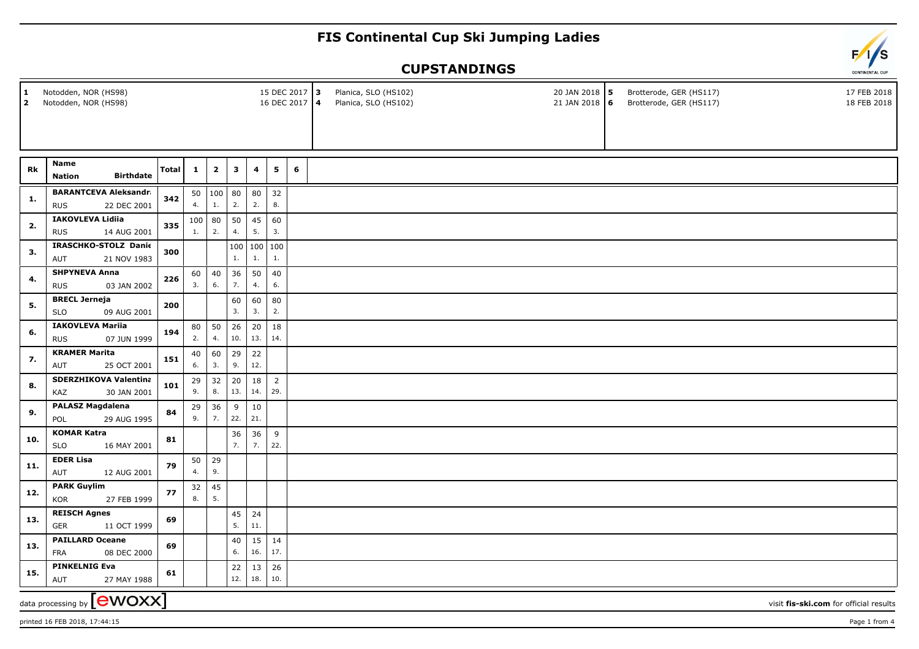## **FIS Continental Cup Ski Jumping Ladies**

## **CUPSTANDINGS**

| Notodden, NOR (HS98)<br>15 DEC 2017 3<br>1<br>$\overline{2}$<br>Notodden, NOR (HS98)<br>16 DEC 2017 4 |                                                                             |       |              |                  |              |                |                |   |    | Planica, SLO (HS102)<br>Planica, SLO (HS102) | 20 JAN 2018 5<br>21 JAN 2018 6 | Brotterode, GER (HS117)<br>Brotterode, GER (HS117) | 17 FEB 2018<br>18 FEB 2018 |  |  |  |  |  |  |
|-------------------------------------------------------------------------------------------------------|-----------------------------------------------------------------------------|-------|--------------|------------------|--------------|----------------|----------------|---|----|----------------------------------------------|--------------------------------|----------------------------------------------------|----------------------------|--|--|--|--|--|--|
|                                                                                                       |                                                                             |       |              |                  |              |                |                |   |    |                                              |                                |                                                    |                            |  |  |  |  |  |  |
| Rk                                                                                                    | <b>Name</b>                                                                 | Total | $\mathbf{1}$ | $\overline{2}$   | $\mathbf{3}$ | $\overline{4}$ | 5              | 6 |    |                                              |                                |                                                    |                            |  |  |  |  |  |  |
|                                                                                                       | <b>Birthdate</b><br><b>Nation</b>                                           |       |              |                  |              |                |                |   |    |                                              |                                |                                                    |                            |  |  |  |  |  |  |
| 1.                                                                                                    | <b>BARANTCEVA Aleksandra</b><br>22 DEC 2001<br><b>RUS</b>                   | 342   | 4.           | 50   100  <br>1. | 80<br>2.     | 80<br>2.       | 32<br>8.       |   |    |                                              |                                |                                                    |                            |  |  |  |  |  |  |
| 2.                                                                                                    | IAKOVLEVA Lidiia                                                            | 335   | 100          | 80               | 50           | 45             | 60             |   |    |                                              |                                |                                                    |                            |  |  |  |  |  |  |
|                                                                                                       | <b>RUS</b><br>14 AUG 2001                                                   |       | 1.           | 2.               | 4.           | 5.             | 3.             |   |    |                                              |                                |                                                    |                            |  |  |  |  |  |  |
| 3.                                                                                                    | IRASCHKO-STOLZ Danie                                                        | 300   |              |                  | 100          | 100            | 100            |   |    |                                              |                                |                                                    |                            |  |  |  |  |  |  |
|                                                                                                       | 21 NOV 1983<br>AUT                                                          |       |              |                  | 1.           | 1.             | 1.             |   |    |                                              |                                |                                                    |                            |  |  |  |  |  |  |
| 4.                                                                                                    | <b>SHPYNEVA Anna</b>                                                        | 226   | 60           | 40               | 36           | 50             | $40\,$         |   |    |                                              |                                |                                                    |                            |  |  |  |  |  |  |
| 5.                                                                                                    | <b>RUS</b><br>03 JAN 2002                                                   |       | 3.           | 6.               | 7.           | 4.             | 6.             |   |    |                                              |                                |                                                    |                            |  |  |  |  |  |  |
|                                                                                                       | <b>BRECL Jerneja</b><br><b>SLO</b><br>09 AUG 2001                           | 200   |              |                  | 60<br>3.     | 60<br>3.       | $80\,$<br>2.   |   |    |                                              |                                |                                                    |                            |  |  |  |  |  |  |
|                                                                                                       | <b>IAKOVLEVA Mariia</b>                                                     |       | 80           | 50               | 26           | 20             | $18\,$         |   |    |                                              |                                |                                                    |                            |  |  |  |  |  |  |
| 6.                                                                                                    | 07 JUN 1999<br><b>RUS</b>                                                   | 194   | 2.           | 4.               | 10.          | 13.            | 14.            |   |    |                                              |                                |                                                    |                            |  |  |  |  |  |  |
|                                                                                                       | <b>KRAMER Marita</b>                                                        | 151   | 40           | 60               | 29           | 22             |                |   |    |                                              |                                |                                                    |                            |  |  |  |  |  |  |
| 7.                                                                                                    | AUT<br>25 OCT 2001                                                          |       |              | 6.               | 3.           | 9.             | 12.            |   |    |                                              |                                |                                                    |                            |  |  |  |  |  |  |
|                                                                                                       | <b>SDERZHIKOVA Valentina</b>                                                | 101   | 29           | 32               | 20           | 18             | $\overline{2}$ |   |    |                                              |                                |                                                    |                            |  |  |  |  |  |  |
| 8.                                                                                                    | KAZ<br>30 JAN 2001                                                          |       | 9.           | 8.               | 13.          | 14.            | 29.            |   |    |                                              |                                |                                                    |                            |  |  |  |  |  |  |
| 9.                                                                                                    | <b>PALASZ Magdalena</b>                                                     | 84    | 29           | 36               | 9            | 10             |                |   |    |                                              |                                |                                                    |                            |  |  |  |  |  |  |
|                                                                                                       | 29 AUG 1995<br>POL                                                          |       |              | 9.               | 7.           | 22.            | 21.            |   |    |                                              |                                |                                                    |                            |  |  |  |  |  |  |
| 10.                                                                                                   | <b>KOMAR Katra</b>                                                          | 81    |              |                  | 36           | 36             | 9              |   |    |                                              |                                |                                                    |                            |  |  |  |  |  |  |
|                                                                                                       | <b>SLO</b><br>16 MAY 2001                                                   |       |              |                  | 7.           | 7.             | 22.            |   |    |                                              |                                |                                                    |                            |  |  |  |  |  |  |
| 11.                                                                                                   | <b>EDER Lisa</b><br>AUT<br>12 AUG 2001                                      | 79    | 50<br>4.     | 29<br>9.         |              |                |                |   |    |                                              |                                |                                                    |                            |  |  |  |  |  |  |
|                                                                                                       | <b>PARK Guylim</b>                                                          |       | 32           | 45               |              |                |                |   |    |                                              |                                |                                                    |                            |  |  |  |  |  |  |
| 12.                                                                                                   | 27 FEB 1999<br>KOR                                                          | 77    |              |                  |              |                |                |   | 8. | 5.                                           |                                |                                                    |                            |  |  |  |  |  |  |
|                                                                                                       | <b>REISCH Agnes</b>                                                         |       |              |                  | 45           | 24             |                |   |    |                                              |                                |                                                    |                            |  |  |  |  |  |  |
| 13.                                                                                                   | 11 OCT 1999<br><b>GER</b>                                                   | 69    |              |                  | 5.           | 11.            |                |   |    |                                              |                                |                                                    |                            |  |  |  |  |  |  |
| 13.                                                                                                   | <b>PAILLARD Oceane</b>                                                      | 69    |              |                  | 40           | 15             | 14             |   |    |                                              |                                |                                                    |                            |  |  |  |  |  |  |
|                                                                                                       | <b>FRA</b><br>08 DEC 2000                                                   |       |              |                  | 6.           | 16.            | 17.            |   |    |                                              |                                |                                                    |                            |  |  |  |  |  |  |
| 15.                                                                                                   | <b>PINKELNIG Eva</b>                                                        | 61    |              |                  | 22           | 13             | 26             |   |    |                                              |                                |                                                    |                            |  |  |  |  |  |  |
|                                                                                                       | 27 MAY 1988<br>AUT                                                          |       |              |                  | 12.          | 18.            | 10.            |   |    |                                              |                                |                                                    |                            |  |  |  |  |  |  |
|                                                                                                       | data processing by <b>[CWOXX]</b><br>visit fis-ski.com for official results |       |              |                  |              |                |                |   |    |                                              |                                |                                                    |                            |  |  |  |  |  |  |

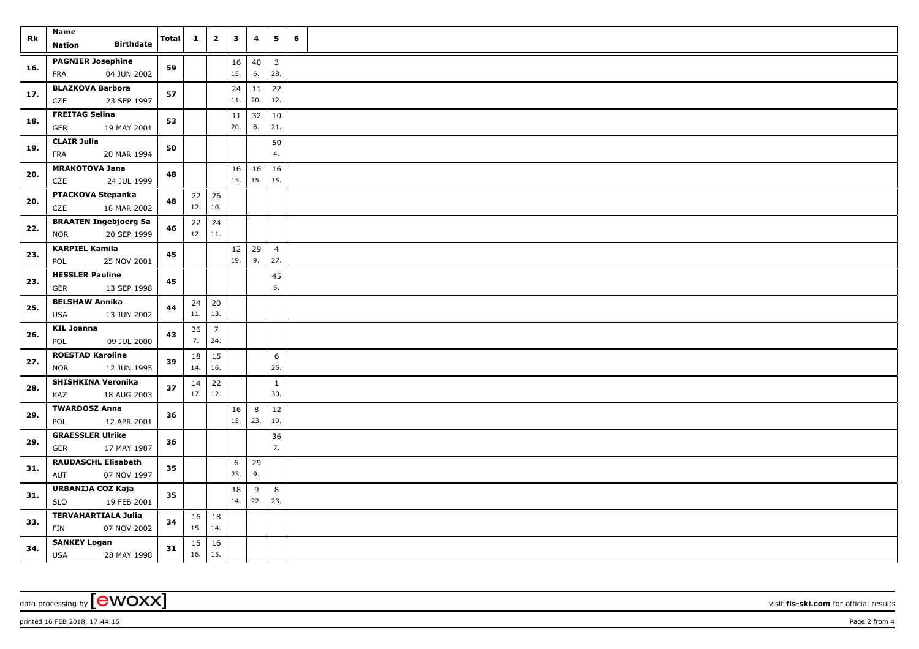| Rk  | Name<br><b>Birthdate</b><br>Nation                   | Total | $\mathbf{1}$ | $\overline{\mathbf{2}}$ | $\mathbf{3}$ | 4         | 5                              | 6 |  |
|-----|------------------------------------------------------|-------|--------------|-------------------------|--------------|-----------|--------------------------------|---|--|
| 16. | <b>PAGNIER Josephine</b><br>04 JUN 2002<br>FRA       | 59    |              |                         | 16<br>15.    | 40<br>6.  | $\overline{\mathbf{3}}$<br>28. |   |  |
| 17. | <b>BLAZKOVA Barbora</b><br>23 SEP 1997<br>CZE        | 57    |              |                         | 24<br>11.    | 11<br>20. | 22<br>12.                      |   |  |
| 18. | <b>FREITAG Selina</b><br><b>GER</b><br>19 MAY 2001   | 53    |              |                         | 11<br>20.    | 32<br>8.  | $10\,$<br>21.                  |   |  |
| 19. | <b>CLAIR Julia</b><br>FRA<br>20 MAR 1994             | 50    |              |                         |              |           | 50<br>4.                       |   |  |
| 20. | <b>MRAKOTOVA Jana</b><br>CZE<br>24 JUL 1999          | 48    |              |                         | 16<br>15.    | 16<br>15. | 16<br>15.                      |   |  |
| 20. | PTACKOVA Stepanka<br>CZE<br>18 MAR 2002              | 48    | 22<br>12.    | 26<br>10.               |              |           |                                |   |  |
| 22. | <b>BRAATEN Ingebjoerg Sa</b><br>20 SEP 1999<br>NOR   | 46    | 22<br>12.    | 24<br>11.               |              |           |                                |   |  |
| 23. | <b>KARPIEL Kamila</b><br>POL<br>25 NOV 2001          | 45    |              |                         | 12<br>19.    | 29<br>9.  | $\overline{4}$<br>27.          |   |  |
| 23. | <b>HESSLER Pauline</b><br><b>GER</b><br>13 SEP 1998  | 45    |              |                         |              |           | 45<br>5.                       |   |  |
| 25. | <b>BELSHAW Annika</b><br><b>USA</b><br>13 JUN 2002   | 44    | 24<br>11.    | 20<br>13.               |              |           |                                |   |  |
| 26. | <b>KIL Joanna</b><br>09 JUL 2000<br>POL              | 43    | 36<br>7.     | $\overline{7}$<br>24.   |              |           |                                |   |  |
| 27. | <b>ROESTAD Karoline</b><br>12 JUN 1995<br><b>NOR</b> | 39    | 18<br>14.    | 15<br>16.               |              |           | 6<br>25.                       |   |  |
| 28. | SHISHKINA Veronika<br>18 AUG 2003<br>KAZ             | 37    | 14<br>17.    | 22<br>12.               |              |           | $\mathbf{1}$<br>30.            |   |  |
| 29. | <b>TWARDOSZ Anna</b><br>POL<br>12 APR 2001           | 36    |              |                         | 16<br>15.    | 8<br>23.  | 12<br>19.                      |   |  |
| 29. | <b>GRAESSLER Ulrike</b><br>17 MAY 1987<br>GER        | 36    |              |                         |              |           | 36<br>7.                       |   |  |
| 31. | <b>RAUDASCHL Elisabeth</b><br>07 NOV 1997<br>AUT     | 35    |              |                         | 6<br>25.     | 29<br>9.  |                                |   |  |
| 31. | URBANIJA COZ Kaja<br><b>SLO</b><br>19 FEB 2001       | 35    |              |                         | 18<br>14.    | 9<br>22.  | 8<br>23.                       |   |  |
| 33. | <b>TERVAHARTIALA Julia</b><br>FIN<br>07 NOV 2002     | 34    | 16<br>15.    | 18<br>14.               |              |           |                                |   |  |
| 34. | <b>SANKEY Logan</b><br><b>USA</b><br>28 MAY 1998     | 31    | 15<br>16.    | 16<br>15.               |              |           |                                |   |  |

data processing by **CWOXX** visit **fis-ski.com** for official results

printed 16 FEB 2018, 17:44:15 **Page 2** from 4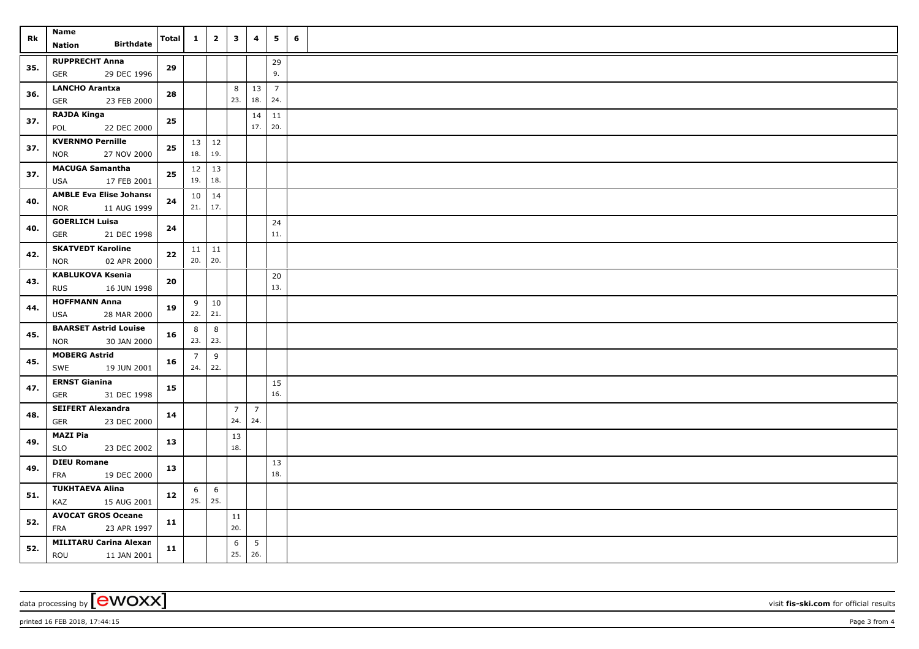| Rk  | Name                                              | <b>Total</b> | $\mathbf{1}$   | $\overline{2}$ | $\mathbf{3}$   | 4              | 5              | 6 |  |
|-----|---------------------------------------------------|--------------|----------------|----------------|----------------|----------------|----------------|---|--|
|     | <b>Birthdate</b><br>Nation                        |              |                |                |                |                |                |   |  |
|     | <b>RUPPRECHT Anna</b>                             |              |                |                |                |                | 29             |   |  |
| 35. | 29 DEC 1996<br>GER                                | 29           |                |                |                |                | 9.             |   |  |
| 36. | <b>LANCHO Arantxa</b>                             | 28           |                |                | 8              | 13             | $\overline{7}$ |   |  |
|     | 23 FEB 2000<br>GER                                |              |                |                | 23.            | 18.            | 24.            |   |  |
| 37. | <b>RAJDA Kinga</b>                                | ${\bf 25}$   |                |                |                | 14             | 11             |   |  |
|     | POL<br>22 DEC 2000                                |              |                |                |                | 17.            | 20.            |   |  |
| 37. | <b>KVERNMO Pernille</b>                           | 25           | $13 \mid 12$   |                |                |                |                |   |  |
|     | 27 NOV 2000<br><b>NOR</b>                         |              | 18.            | 19.            |                |                |                |   |  |
| 37. | <b>MACUGA Samantha</b>                            | 25           | 12             | 13             |                |                |                |   |  |
|     | 17 FEB 2001<br>USA                                |              | 19.            | 18.            |                |                |                |   |  |
| 40. | <b>AMBLE Eva Elise Johanse</b>                    | 24           |                | 10   14        |                |                |                |   |  |
|     | <b>NOR</b><br>11 AUG 1999                         |              | 21.            | 17.            |                |                |                |   |  |
| 40. | <b>GOERLICH Luisa</b>                             | 24           |                |                |                |                | 24             |   |  |
|     | GER<br>21 DEC 1998                                |              |                |                |                |                | $11. \,$       |   |  |
| 42. | <b>SKATVEDT Karoline</b>                          | 22           | $11$ 11        |                |                |                |                |   |  |
|     | <b>NOR</b><br>02 APR 2000                         |              | 20.            | 20.            |                |                |                |   |  |
| 43. | <b>KABLUKOVA Ksenia</b>                           | 20           |                |                |                |                | 20<br>13.      |   |  |
|     | 16 JUN 1998<br><b>RUS</b>                         |              |                |                |                |                |                |   |  |
| 44. | <b>HOFFMANN Anna</b><br><b>USA</b><br>28 MAR 2000 | 19           | 22.   21.      | $9 \mid 10$    |                |                |                |   |  |
|     | <b>BAARSET Astrid Louise</b>                      |              |                |                |                |                |                |   |  |
| 45. | <b>NOR</b><br>30 JAN 2000                         | 16           | 8<br>$23.$ 23. | 8              |                |                |                |   |  |
|     | <b>MOBERG Astrid</b>                              |              | $\overline{7}$ | 9              |                |                |                |   |  |
| 45. | SWE<br>19 JUN 2001                                | 16           | 24.            | 22.            |                |                |                |   |  |
|     | <b>ERNST Gianina</b>                              |              |                |                |                |                | 15             |   |  |
| 47. | <b>GER</b><br>31 DEC 1998                         | 15           |                |                |                |                | 16.            |   |  |
|     | <b>SEIFERT Alexandra</b>                          |              |                |                | $\overline{7}$ | $\overline{7}$ |                |   |  |
| 48. | GER<br>23 DEC 2000                                | 14           |                |                | 24.            | 24.            |                |   |  |
|     | <b>MAZI Pia</b>                                   |              |                |                | 13             |                |                |   |  |
| 49. | <b>SLO</b><br>23 DEC 2002                         | 13           |                |                | 18.            |                |                |   |  |
|     | <b>DIEU Romane</b>                                |              |                |                |                |                | 13             |   |  |
| 49. | FRA<br>19 DEC 2000                                | 13           |                |                |                |                | 18.            |   |  |
|     | <b>TUKHTAEVA Alina</b>                            |              | 6              | 6              |                |                |                |   |  |
| 51. | KAZ<br>15 AUG 2001                                | $12$         | $25.$ 25.      |                |                |                |                |   |  |
| 52. | <b>AVOCAT GROS Oceane</b>                         | 11           |                |                | 11             |                |                |   |  |
|     | FRA<br>23 APR 1997                                |              |                |                | 20.            |                |                |   |  |
| 52. | <b>MILITARU Carina Alexan</b>                     | 11           |                |                | 6              | 5              |                |   |  |
|     | ROU<br>11 JAN 2001                                |              |                |                | 25.            | 26.            |                |   |  |

data processing by **CWOXX** visit **fis-ski.com** for official results

printed 16 FEB 2018, 17:44:15 **Page 3** from 4